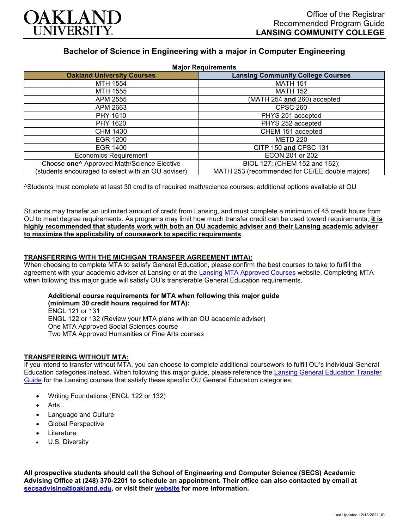

# **Bachelor of Science in Engineering with a major in Computer Engineering**

| <b>Major Requirements</b>                              |                                                |
|--------------------------------------------------------|------------------------------------------------|
| <b>Oakland University Courses</b>                      | <b>Lansing Community College Courses</b>       |
| MTH 1554                                               | <b>MATH 151</b>                                |
| MTH 1555                                               | <b>MATH 152</b>                                |
| APM 2555                                               | (MATH 254 and 260) accepted                    |
| APM 2663                                               | <b>CPSC 260</b>                                |
| PHY 1610                                               | PHYS 251 accepted                              |
| PHY 1620                                               | PHYS 252 accepted                              |
| <b>CHM 1430</b>                                        | CHEM 151 accepted                              |
| <b>EGR 1200</b>                                        | <b>METD 220</b>                                |
| EGR 1400                                               | CITP 150 and CPSC 131                          |
| <b>Economics Requirement</b>                           | ECON 201 or 202                                |
| Choose one <sup>^</sup> Approved Math/Science Elective | BIOL 127; (CHEM 152 and 162);                  |
| (students encouraged to select with an OU adviser)     | MATH 253 (recommended for CE/EE double majors) |

^Students must complete at least 30 credits of required math/science courses, additional options available at OU

Students may transfer an unlimited amount of credit from Lansing, and must complete a minimum of 45 credit hours from OU to meet degree requirements. As programs may limit how much transfer credit can be used toward requirements, **it is highly recommended that students work with both an OU academic adviser and their Lansing academic adviser to maximize the applicability of coursework to specific requirements**.

### **TRANSFERRING WITH THE MICHIGAN TRANSFER AGREEMENT (MTA):**

When choosing to complete MTA to satisfy General Education, please confirm the best courses to take to fulfill the agreement with your academic adviser at Lansing or at the [Lansing MTA Approved Courses](https://www.lcc.edu/academics/transfer/mta.html) website. Completing MTA when following this major guide will satisfy OU's transferable General Education requirements.

#### **Additional course requirements for MTA when following this major guide (minimum 30 credit hours required for MTA):** ENGL 121 or 131

ENGL 122 or 132 (Review your MTA plans with an OU academic adviser) One MTA Approved Social Sciences course Two MTA Approved Humanities or Fine Arts courses

### **TRANSFERRING WITHOUT MTA:**

If you intend to transfer without MTA, you can choose to complete additional coursework to fulfill OU's individual General Education categories instead. When following this major guide, please reference the Lansing General Education Transfer [Guide](https://www.oakland.edu/Assets/Oakland/program-guides/lansing-community-college/university-general-education-requirements/Lansing%20Gen%20Ed.pdf) for the Lansing courses that satisfy these specific OU General Education categories:

- Writing Foundations (ENGL 122 or 132)
- Arts
- Language and Culture
- Global Perspective
- **Literature**
- U.S. Diversity

**All prospective students should call the School of Engineering and Computer Science (SECS) Academic Advising Office at (248) 370-2201 to schedule an appointment. Their office can also contacted by email at [secsadvising@oakland.edu,](mailto:secsadvising@oakland.edu) or visit their [website](https://wwwp.oakland.edu/secs/advising/) for more information.**